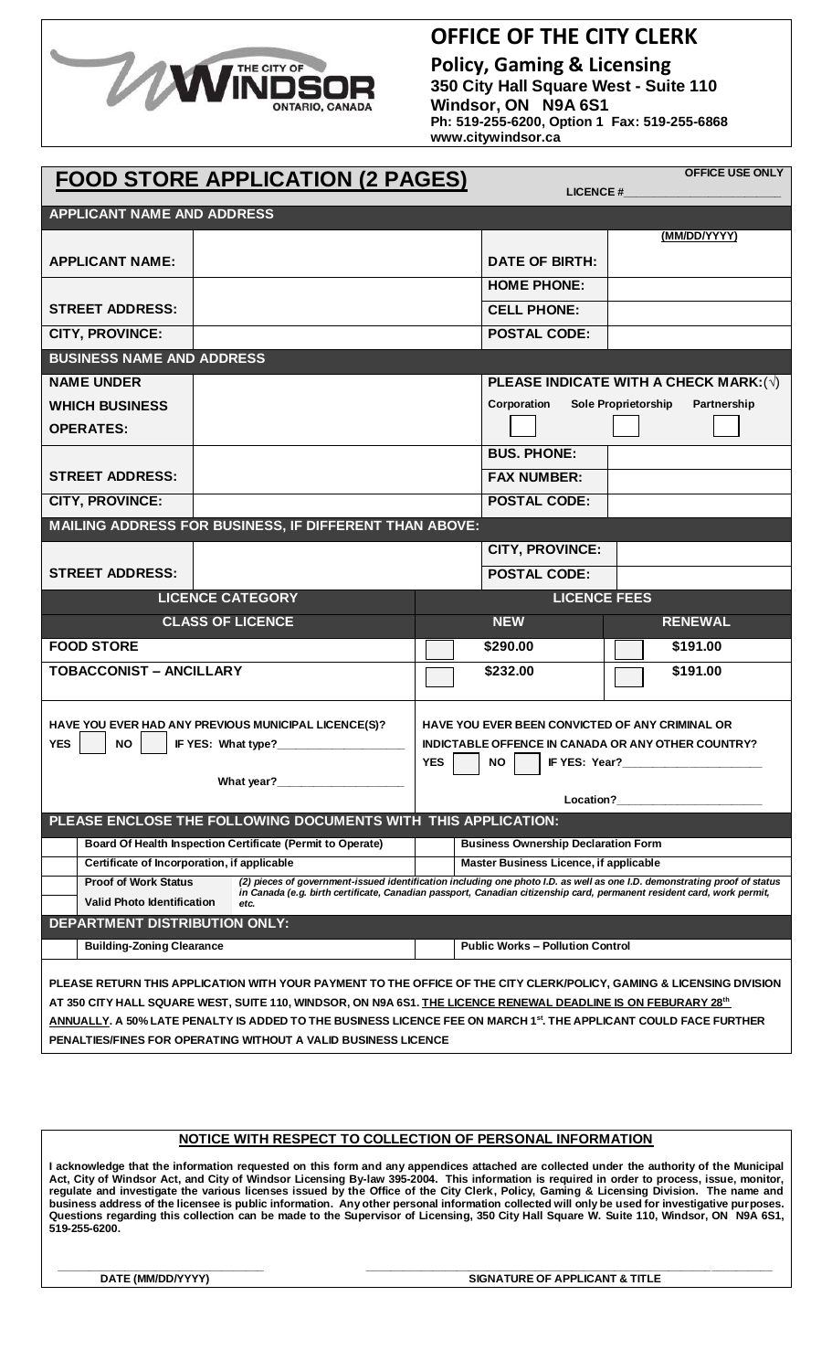

## **OFFICE OF THE CITY CLERK**

**Policy, Gaming & Licensing 350 City Hall Square West - Suite 110 Windsor, ON N9A 6S1 Ph: 519-255-6200, Option 1 Fax: 519-255-6868 www.citywindsor.ca**

| <b>OFFICE USE ONLY</b><br><b>FOOD STORE APPLICATION (2 PAGES)</b><br><b>LICENCE#</b>                                                                                                                                                                 |                                                                                                                                |                                                                                                                                                                            |                                         |                                              |  |  |
|------------------------------------------------------------------------------------------------------------------------------------------------------------------------------------------------------------------------------------------------------|--------------------------------------------------------------------------------------------------------------------------------|----------------------------------------------------------------------------------------------------------------------------------------------------------------------------|-----------------------------------------|----------------------------------------------|--|--|
| <b>APPLICANT NAME AND ADDRESS</b>                                                                                                                                                                                                                    |                                                                                                                                |                                                                                                                                                                            |                                         |                                              |  |  |
|                                                                                                                                                                                                                                                      |                                                                                                                                |                                                                                                                                                                            |                                         | (MM/DD/YYYY)                                 |  |  |
| <b>APPLICANT NAME:</b>                                                                                                                                                                                                                               |                                                                                                                                |                                                                                                                                                                            | <b>DATE OF BIRTH:</b>                   |                                              |  |  |
|                                                                                                                                                                                                                                                      |                                                                                                                                |                                                                                                                                                                            | <b>HOME PHONE:</b>                      |                                              |  |  |
| <b>STREET ADDRESS:</b>                                                                                                                                                                                                                               |                                                                                                                                |                                                                                                                                                                            | <b>CELL PHONE:</b>                      |                                              |  |  |
| CITY, PROVINCE:                                                                                                                                                                                                                                      |                                                                                                                                |                                                                                                                                                                            | <b>POSTAL CODE:</b>                     |                                              |  |  |
| <b>BUSINESS NAME AND ADDRESS</b>                                                                                                                                                                                                                     |                                                                                                                                |                                                                                                                                                                            |                                         |                                              |  |  |
| <b>NAME UNDER</b>                                                                                                                                                                                                                                    |                                                                                                                                |                                                                                                                                                                            |                                         | PLEASE INDICATE WITH A CHECK MARK: $(\sqrt)$ |  |  |
| <b>WHICH BUSINESS</b>                                                                                                                                                                                                                                |                                                                                                                                |                                                                                                                                                                            | Corporation                             | <b>Sole Proprietorship</b><br>Partnership    |  |  |
| <b>OPERATES:</b>                                                                                                                                                                                                                                     |                                                                                                                                |                                                                                                                                                                            |                                         |                                              |  |  |
|                                                                                                                                                                                                                                                      |                                                                                                                                |                                                                                                                                                                            | <b>BUS. PHONE:</b>                      |                                              |  |  |
| <b>STREET ADDRESS:</b>                                                                                                                                                                                                                               |                                                                                                                                |                                                                                                                                                                            | <b>FAX NUMBER:</b>                      |                                              |  |  |
| CITY, PROVINCE:                                                                                                                                                                                                                                      |                                                                                                                                |                                                                                                                                                                            | <b>POSTAL CODE:</b>                     |                                              |  |  |
|                                                                                                                                                                                                                                                      | MAILING ADDRESS FOR BUSINESS, IF DIFFERENT THAN ABOVE:                                                                         |                                                                                                                                                                            |                                         |                                              |  |  |
|                                                                                                                                                                                                                                                      |                                                                                                                                |                                                                                                                                                                            | <b>CITY, PROVINCE:</b>                  |                                              |  |  |
| <b>STREET ADDRESS:</b>                                                                                                                                                                                                                               |                                                                                                                                |                                                                                                                                                                            | <b>POSTAL CODE:</b>                     |                                              |  |  |
|                                                                                                                                                                                                                                                      | <b>LICENCE CATEGORY</b>                                                                                                        |                                                                                                                                                                            |                                         | <b>LICENCE FEES</b>                          |  |  |
|                                                                                                                                                                                                                                                      | <b>CLASS OF LICENCE</b>                                                                                                        |                                                                                                                                                                            | <b>NEW</b>                              | <b>RENEWAL</b>                               |  |  |
| <b>FOOD STORE</b>                                                                                                                                                                                                                                    |                                                                                                                                |                                                                                                                                                                            | \$290.00                                | \$191.00                                     |  |  |
| <b>TOBACCONIST - ANCILLARY</b>                                                                                                                                                                                                                       |                                                                                                                                |                                                                                                                                                                            | \$232.00                                | \$191.00                                     |  |  |
|                                                                                                                                                                                                                                                      |                                                                                                                                |                                                                                                                                                                            |                                         |                                              |  |  |
| HAVE YOU EVER HAD ANY PREVIOUS MUNICIPAL LICENCE(S)?<br>HAVE YOU EVER BEEN CONVICTED OF ANY CRIMINAL OR                                                                                                                                              |                                                                                                                                |                                                                                                                                                                            |                                         |                                              |  |  |
| <b>YES</b><br><b>NO</b><br>IF YES: What type?                                                                                                                                                                                                        |                                                                                                                                | <b>INDICTABLE OFFENCE IN CANADA OR ANY OTHER COUNTRY?</b><br>IF YES: Year?                                                                                                 |                                         |                                              |  |  |
|                                                                                                                                                                                                                                                      | What year?                                                                                                                     | <b>YES</b>                                                                                                                                                                 | NO.                                     |                                              |  |  |
|                                                                                                                                                                                                                                                      |                                                                                                                                |                                                                                                                                                                            |                                         | Location? <b>Example 2</b>                   |  |  |
|                                                                                                                                                                                                                                                      | PLEASE ENCLOSE THE FOLLOWING DOCUMENTS WITH THIS APPLICATION:                                                                  |                                                                                                                                                                            |                                         |                                              |  |  |
|                                                                                                                                                                                                                                                      | Board Of Health Inspection Certificate (Permit to Operate)                                                                     | <b>Business Ownership Declaration Form</b>                                                                                                                                 |                                         |                                              |  |  |
| Certificate of Incorporation, if applicable<br><b>Proof of Work Status</b>                                                                                                                                                                           |                                                                                                                                | <b>Master Business Licence, if applicable</b><br>(2) pieces of government-issued identification including one photo I.D. as well as one I.D. demonstrating proof of status |                                         |                                              |  |  |
| <b>Valid Photo Identification</b>                                                                                                                                                                                                                    | in Canada (e.g. birth certificate, Canadian passport, Canadian citizenship card, permanent resident card, work permit,<br>etc. |                                                                                                                                                                            |                                         |                                              |  |  |
| <b>DEPARTMENT DISTRIBUTION ONLY:</b>                                                                                                                                                                                                                 |                                                                                                                                |                                                                                                                                                                            |                                         |                                              |  |  |
| <b>Building-Zoning Clearance</b>                                                                                                                                                                                                                     |                                                                                                                                |                                                                                                                                                                            | <b>Public Works - Pollution Control</b> |                                              |  |  |
| PLEASE RETURN THIS APPLICATION WITH YOUR PAYMENT TO THE OFFICE OF THE CITY CLERK/POLICY, GAMING & LICENSING DIVISION                                                                                                                                 |                                                                                                                                |                                                                                                                                                                            |                                         |                                              |  |  |
| AT 350 CITY HALL SQUARE WEST, SUITE 110, WINDSOR, ON N9A 6S1. <u>THE LICENCE RENEWAL DEADLINE IS ON FEBURARY 28<sup>th</sup></u><br>ANNUALLY. A 50% LATE PENALTY IS ADDED TO THE BUSINESS LICENCE FEE ON MARCH 1st. THE APPLICANT COULD FACE FURTHER |                                                                                                                                |                                                                                                                                                                            |                                         |                                              |  |  |
| PENALTIES/FINES FOR OPERATING WITHOUT A VALID BUSINESS LICENCE                                                                                                                                                                                       |                                                                                                                                |                                                                                                                                                                            |                                         |                                              |  |  |

## **NOTICE WITH RESPECT TO COLLECTION OF PERSONAL INFORMATION**

**I acknowledge that the information requested on this form and any appendices attached are collected under the authority of the Municipal Act, City of Windsor Act, and City of Windsor Licensing By-law 395-2004. This information is required in order to process, issue, monitor, regulate and investigate the various licenses issued by the Office of the City Clerk, Policy, Gaming & Licensing Division. The name and business address of the licensee is public information. Any other personal information collected will only be used for investigative purposes. Questions regarding this collection can be made to the Supervisor of Licensing, 350 City Hall Square W. Suite 110, Windsor, ON N9A 6S1, 519-255-6200.**